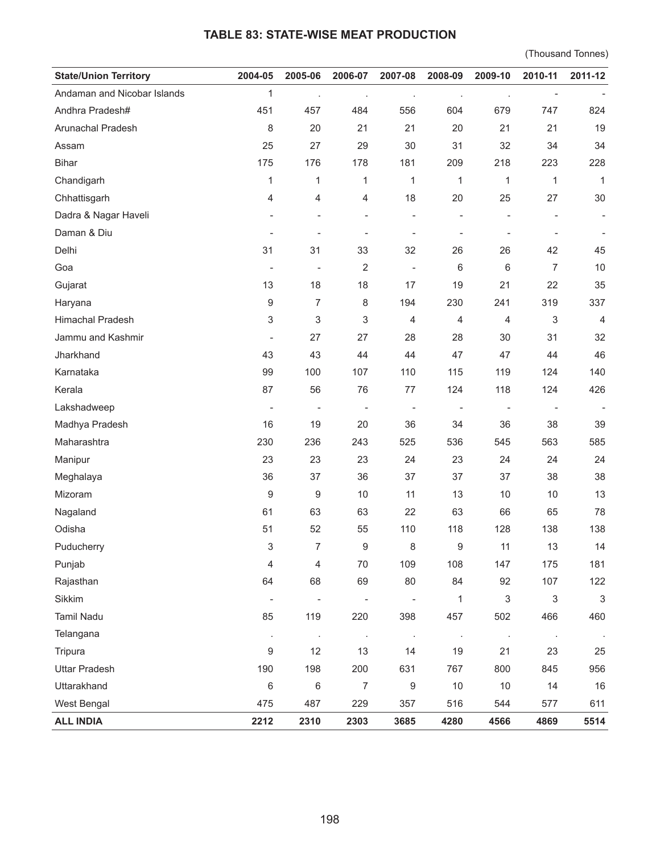## **TABLE 83: STATE-WISE MEAT PRODUCTION**

(Thousand Tonnes)

| <b>State/Union Territory</b> | 2004-05                  | 2005-06                  | 2006-07                  | 2007-08                  | 2008-09 | 2009-10                  | 2010-11                      | 2011-12                   |
|------------------------------|--------------------------|--------------------------|--------------------------|--------------------------|---------|--------------------------|------------------------------|---------------------------|
| Andaman and Nicobar Islands  | 1                        |                          | ÷,                       |                          |         |                          | ÷,                           |                           |
| Andhra Pradesh#              | 451                      | 457                      | 484                      | 556                      | 604     | 679                      | 747                          | 824                       |
| Arunachal Pradesh            | 8                        | 20                       | 21                       | 21                       | 20      | 21                       | 21                           | 19                        |
| Assam                        | 25                       | 27                       | 29                       | 30                       | 31      | 32                       | 34                           | 34                        |
| <b>Bihar</b>                 | 175                      | 176                      | 178                      | 181                      | 209     | 218                      | 223                          | 228                       |
| Chandigarh                   | $\mathbf{1}$             | 1                        | $\mathbf{1}$             | $\mathbf{1}$             | 1       | 1                        | $\mathbf{1}$                 | $\mathbf{1}$              |
| Chhattisgarh                 | 4                        | 4                        | 4                        | 18                       | 20      | 25                       | 27                           | $30\,$                    |
| Dadra & Nagar Haveli         |                          | $\overline{\phantom{a}}$ |                          | $\overline{a}$           |         | ÷,                       | ÷                            |                           |
| Daman & Diu                  |                          |                          |                          |                          |         | $\overline{\phantom{a}}$ | $\overline{a}$               |                           |
| Delhi                        | 31                       | 31                       | 33                       | 32                       | 26      | 26                       | 42                           | 45                        |
| Goa                          | $\overline{\phantom{a}}$ | $\overline{\phantom{a}}$ | $\overline{\mathbf{c}}$  | $\overline{\phantom{a}}$ | 6       | 6                        | 7                            | 10                        |
| Gujarat                      | 13                       | 18                       | 18                       | 17                       | 19      | 21                       | 22                           | 35                        |
| Haryana                      | 9                        | $\overline{7}$           | 8                        | 194                      | 230     | 241                      | 319                          | 337                       |
| Himachal Pradesh             | 3                        | 3                        | 3                        | 4                        | 4       | 4                        | 3                            | $\overline{4}$            |
| Jammu and Kashmir            | $\overline{\phantom{a}}$ | 27                       | 27                       | 28                       | 28      | 30                       | 31                           | 32                        |
| Jharkhand                    | 43                       | 43                       | 44                       | 44                       | 47      | 47                       | 44                           | 46                        |
| Karnataka                    | 99                       | 100                      | 107                      | 110                      | 115     | 119                      | 124                          | 140                       |
| Kerala                       | 87                       | 56                       | 76                       | 77                       | 124     | 118                      | 124                          | 426                       |
| Lakshadweep                  | $\overline{\phantom{a}}$ | $\overline{\phantom{a}}$ |                          | $\overline{\phantom{a}}$ |         | $\overline{\phantom{a}}$ | $\qquad \qquad \blacksquare$ |                           |
| Madhya Pradesh               | 16                       | 19                       | 20                       | 36                       | 34      | 36                       | 38                           | 39                        |
| Maharashtra                  | 230                      | 236                      | 243                      | 525                      | 536     | 545                      | 563                          | 585                       |
| Manipur                      | 23                       | 23                       | 23                       | 24                       | 23      | 24                       | 24                           | 24                        |
| Meghalaya                    | 36                       | 37                       | 36                       | 37                       | 37      | 37                       | 38                           | 38                        |
| Mizoram                      | 9                        | 9                        | 10                       | 11                       | 13      | 10                       | 10                           | 13                        |
| Nagaland                     | 61                       | 63                       | 63                       | 22                       | 63      | 66                       | 65                           | 78                        |
| Odisha                       | 51                       | 52                       | 55                       | 110                      | 118     | 128                      | 138                          | 138                       |
| Puducherry                   | 3                        | 7                        | 9                        | 8                        | 9       | 11                       | 13                           | 14                        |
| Punjab                       | 4                        | 4                        | 70                       | 109                      | 108     | 147                      | 175                          | 181                       |
| Rajasthan                    | 64                       | 68                       | 69                       | 80                       | 84      | 92                       | 107                          | 122                       |
| Sikkim                       | ÷,                       | $\blacksquare$           | $\overline{\phantom{a}}$ |                          | 1       | 3                        | 3                            | $\ensuremath{\mathsf{3}}$ |
| <b>Tamil Nadu</b>            | 85                       | 119                      | 220                      | 398                      | 457     | 502                      | 466                          | 460                       |
| Telangana                    |                          | $\sim$                   | $\cdot$                  | $\cdot$                  | $\cdot$ | $\cdot$                  |                              |                           |
| Tripura                      | 9                        | 12                       | 13                       | 14                       | 19      | 21                       | 23                           | 25                        |
| <b>Uttar Pradesh</b>         | 190                      | 198                      | 200                      | 631                      | 767     | 800                      | 845                          | 956                       |
| Uttarakhand                  | 6                        | 6                        | 7                        | 9                        | 10      | $10$                     | 14                           | 16                        |
| West Bengal                  | 475                      | 487                      | 229                      | 357                      | 516     | 544                      | 577                          | 611                       |
| <b>ALL INDIA</b>             | 2212                     | 2310                     | 2303                     | 3685                     | 4280    | 4566                     | 4869                         | 5514                      |